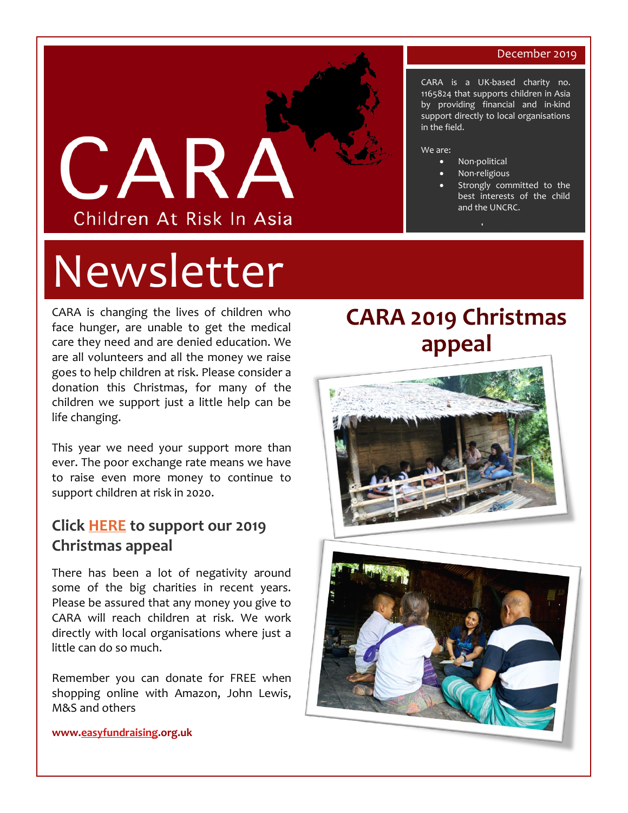#### December 2019

CARA is a UK-based charity no. 1165824 that supports children in Asia by providing financial and in-kind support directly to local organisations

> Strongly committed to the best interests of the child



# Newsletter

CARA is changing the lives of children who face hunger, are unable to get the medical care they need and are denied education. We are all volunteers and all the money we raise goes to help children at risk. Please consider a donation this Christmas, for many of the children we support just a little help can be life changing.

This year we need your support more than ever. The poor exchange rate means we have to raise even more money to continue to support children at risk in 2020.

#### **Click [HERE](https://www.gofundme.com/f/cara-2019-christmas-appeal?utm_source=customer&utm_medium=copy_link&utm_campaign=p_cf+share-flow-1) to support our 2019 Christmas appeal**

There has been a lot of negativity around some of the big charities in recent years. Please be assured that any money you give to CARA will reach children at risk. We work directly with local organisations where just a little can do so much.

Remember you can donate for FREE when shopping online with Amazon, John Lewis, M&S and others

# **CARA 2019 Christmas appeal**

in the field.

• Non-political • Non-religious

[www.carauk.org](http://www.carauk.org/) 

and the UNCRC.

We are:





**www[.easyfundraising.o](http://www.easyfundraising.org.uk/)rg.uk**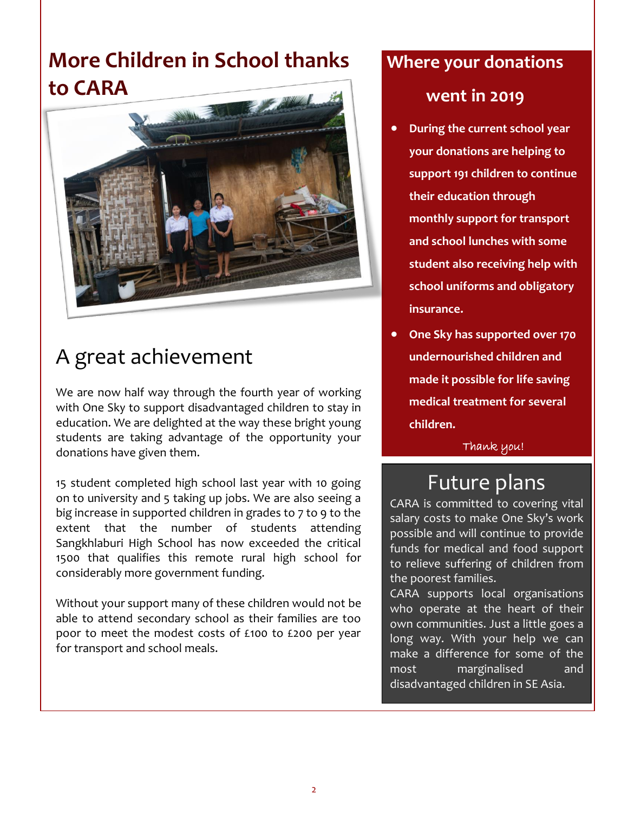## **More Children in School thanks to CARA**



# A great achievement

We are now half way through the fourth year of working with One Sky to support disadvantaged children to stay in education. We are delighted at the way these bright young students are taking advantage of the opportunity your donations have given them.

15 student completed high school last year with 10 going on to university and 5 taking up jobs. We are also seeing a big increase in supported children in grades to 7 to 9 to the extent that the number of students attending Sangkhlaburi High School has now exceeded the critical 1500 that qualifies this remote rural high school for considerably more government funding.

Without your support many of these children would not be able to attend secondary school as their families are too poor to meet the modest costs of £100 to £200 per year for transport and school meals.

# **Where your donations**

#### **went in 2019**

- **During the current school year your donations are helping to support 191 children to continue their education through monthly support for transport and school lunches with some student also receiving help with school uniforms and obligatory insurance.**
- **One Sky has supported over 170 undernourished children and made it possible for life saving medical treatment for several children.**

Thank you!

#### Future plans

CARA is committed to covering vital salary costs to make One Sky's work possible and will continue to provide funds for medical and food support to relieve suffering of children from the poorest families.

CARA supports local organisations who operate at the heart of their own communities. Just a little goes a long way. With your help we can make a difference for some of the most marginalised and disadvantaged children in SE Asia.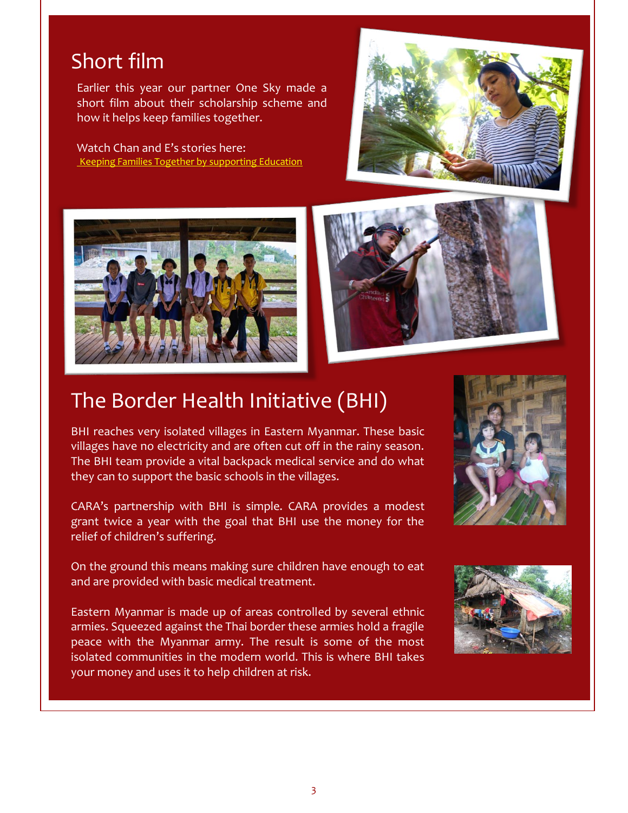#### Short film

Earlier this year our partner One Sky made a short film about their scholarship scheme and how it helps keep families together.

#### Watch Chan and E's stories here: [Keeping Families Together by supporting Education](https://www.youtube.com/watch?v=7CAjC4nPiwg)





## The Border Health Initiative (BHI)

BHI reaches very isolated villages in Eastern Myanmar. These basic villages have no electricity and are often cut off in the rainy season. The BHI team provide a vital backpack medical service and do what they can to support the basic schools in the villages.

CARA's partnership with BHI is simple. CARA provides a modest grant twice a year with the goal that BHI use the money for the relief of children's suffering.

On the ground this means making sure children have enough to eat and are provided with basic medical treatment.

Eastern Myanmar is made up of areas controlled by several ethnic armies. Squeezed against the Thai border these armies hold a fragile peace with the Myanmar army. The result is some of the most isolated communities in the modern world. This is where BHI takes your money and uses it to help children at risk.